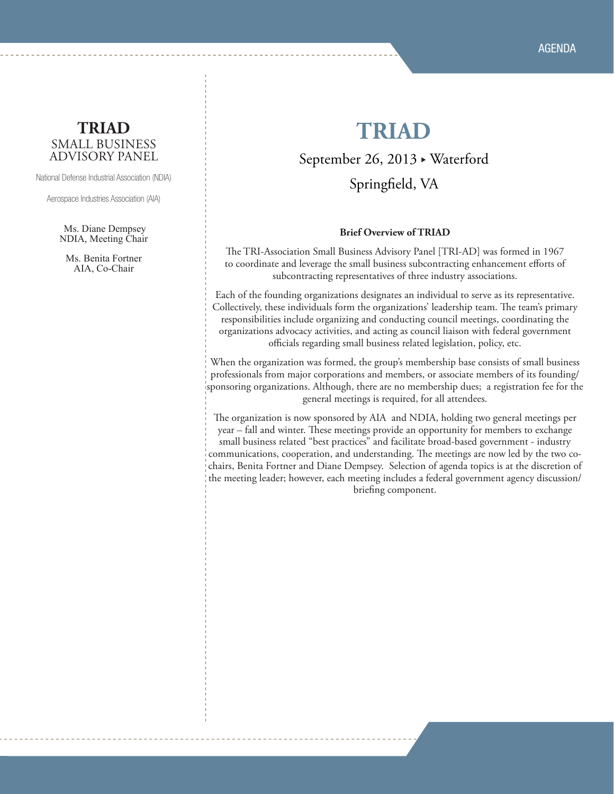#### **TRIAD** SMALL BUSINESS ADVISORY PANEL

National Defense Industrial Association (NDIA)

Aerospace Industries Association (AIA)

Ms. Diane Dempsey NDIA, Meeting Chair

Ms. Benita Fortner AIA, Co-Chair

## **TRIAD**

September 26, 2013 · Waterford

Springfield, VA

#### **Brief Overview of TRIAD**

The TRI-Association Small Business Advisory Panel [TRI-AD] was formed in 1967 to coordinate and leverage the small business subcontracting enhancement efforts of subcontracting representatives of three industry associations.

Each of the founding organizations designates an individual to serve as its representative. Collectively, these individuals form the organizations' leadership team. The team's primary responsibilities include organizing and conducting council meetings, coordinating the organizations advocacy activities, and acting as council liaison with federal government officials regarding small business related legislation, policy, etc.

When the organization was formed, the group's membership base consists of small business professionals from major corporations and members, or associate members of its founding/ sponsoring organizations. Although, there are no membership dues; a registration fee for the general meetings is required, for all attendees.

The organization is now sponsored by AIA and NDIA, holding two general meetings per year – fall and winter. These meetings provide an opportunity for members to exchange small business related "best practices" and facilitate broad-based government - industry communications, cooperation, and understanding. The meetings are now led by the two cochairs, Benita Fortner and Diane Dempsey. Selection of agenda topics is at the discretion of the meeting leader; however, each meeting includes a federal government agency discussion/ briefing component.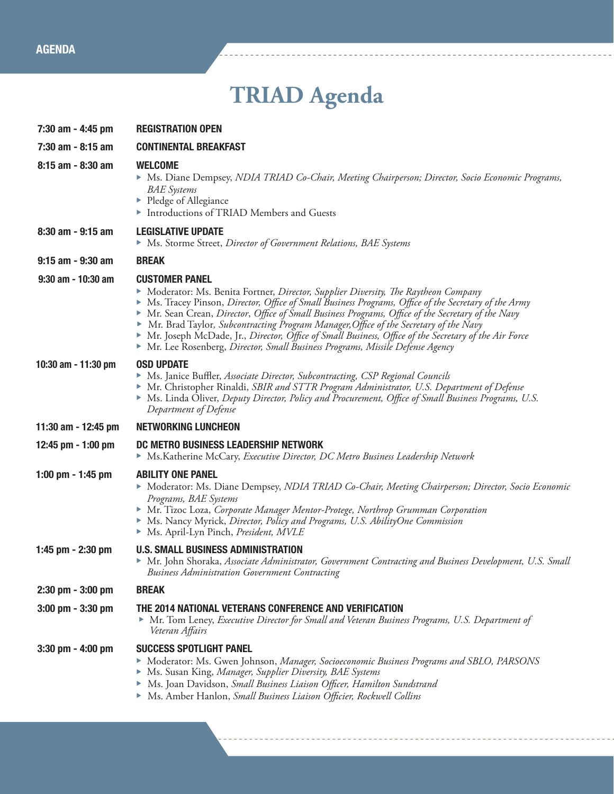# **TRIAD Agenda**

| 7:30 am - 4:45 pm     | <b>REGISTRATION OPEN</b>                                                                                                                                                                                                                                                                                                                                                                                                                                                                                                                                                                                  |
|-----------------------|-----------------------------------------------------------------------------------------------------------------------------------------------------------------------------------------------------------------------------------------------------------------------------------------------------------------------------------------------------------------------------------------------------------------------------------------------------------------------------------------------------------------------------------------------------------------------------------------------------------|
| 7:30 am - 8:15 am     | <b>CONTINENTAL BREAKFAST</b>                                                                                                                                                                                                                                                                                                                                                                                                                                                                                                                                                                              |
| 8:15 am - 8:30 am     | <b>WELCOME</b><br>Ms. Diane Dempsey, NDIA TRIAD Co-Chair, Meeting Chairperson; Director, Socio Economic Programs,<br><b>BAE</b> Systems<br>▶ Pledge of Allegiance<br>Introductions of TRIAD Members and Guests                                                                                                                                                                                                                                                                                                                                                                                            |
| 8:30 am - 9:15 am     | <b>LEGISLATIVE UPDATE</b><br>Ms. Storme Street, Director of Government Relations, BAE Systems                                                                                                                                                                                                                                                                                                                                                                                                                                                                                                             |
| 9:15 am - 9:30 am     | <b>BREAK</b>                                                                                                                                                                                                                                                                                                                                                                                                                                                                                                                                                                                              |
| $9:30$ am - 10:30 am  | <b>CUSTOMER PANEL</b><br>Moderator: Ms. Benita Fortner, Director, Supplier Diversity, The Raytheon Company<br>Ms. Tracey Pinson, Director, Office of Small Business Programs, Office of the Secretary of the Army<br>Mr. Sean Crean, Director, Office of Small Business Programs, Office of the Secretary of the Navy<br>▶ Mr. Brad Taylor, Subcontracting Program Manager, Office of the Secretary of the Navy<br>► Mr. Joseph McDade, Jr., Director, Office of Small Business, Office of the Secretary of the Air Force<br>Mr. Lee Rosenberg, Director, Small Business Programs, Missile Defense Agency |
| 10:30 am - 11:30 pm   | <b>OSD UPDATE</b><br>• Ms. Janice Buffler, Associate Director, Subcontracting, CSP Regional Councils<br>Mr. Christopher Rinaldi, SBIR and STTR Program Administrator, U.S. Department of Defense<br>Ms. Linda Oliver, Deputy Director, Policy and Procurement, Office of Small Business Programs, U.S.<br>Department of Defense                                                                                                                                                                                                                                                                           |
| 11:30 am - 12:45 pm   | <b>NETWORKING LUNCHEON</b>                                                                                                                                                                                                                                                                                                                                                                                                                                                                                                                                                                                |
| 12:45 pm - 1:00 pm    | DC METRO BUSINESS LEADERSHIP NETWORK<br>Ms.Katherine McCary, Executive Director, DC Metro Business Leadership Network                                                                                                                                                                                                                                                                                                                                                                                                                                                                                     |
| 1:00 pm $-$ 1:45 pm   | <b>ABILITY ONE PANEL</b><br>Moderator: Ms. Diane Dempsey, NDIA TRIAD Co-Chair, Meeting Chairperson; Director, Socio Economic<br>Programs, BAE Systems<br>Mr. Tizoc Loza, Corporate Manager Mentor-Protege, Northrop Grumman Corporation<br>• Ms. Nancy Myrick, Director, Policy and Programs, U.S. AbilityOne Commission<br>Ms. April-Lyn Pinch, President, MVLE                                                                                                                                                                                                                                          |
| 1:45 pm $-$ 2:30 pm   | <b>U.S. SMALL BUSINESS ADMINISTRATION</b><br>Mr. John Shoraka, Associate Administrator, Government Contracting and Business Development, U.S. Small<br><b>Business Administration Government Contracting</b>                                                                                                                                                                                                                                                                                                                                                                                              |
| $2:30$ pm $-3:00$ pm  | <b>BREAK</b>                                                                                                                                                                                                                                                                                                                                                                                                                                                                                                                                                                                              |
| $3:00$ pm $-3:30$ pm  | THE 2014 NATIONAL VETERANS CONFERENCE AND VERIFICATION<br>Mr. Tom Leney, Executive Director for Small and Veteran Business Programs, U.S. Department of<br>Veteran Affairs                                                                                                                                                                                                                                                                                                                                                                                                                                |
| $3:30$ pm - $4:00$ pm | <b>SUCCESS SPOTLIGHT PANEL</b><br>Moderator: Ms. Gwen Johnson, Manager, Socioeconomic Business Programs and SBLO, PARSONS<br>Ms. Susan King, Manager, Supplier Diversity, BAE Systems<br>Ms. Joan Davidson, Small Business Liaison Officer, Hamilton Sundstrand<br>Ms. Amber Hanlon, Small Business Liaison Officier, Rockwell Collins                                                                                                                                                                                                                                                                    |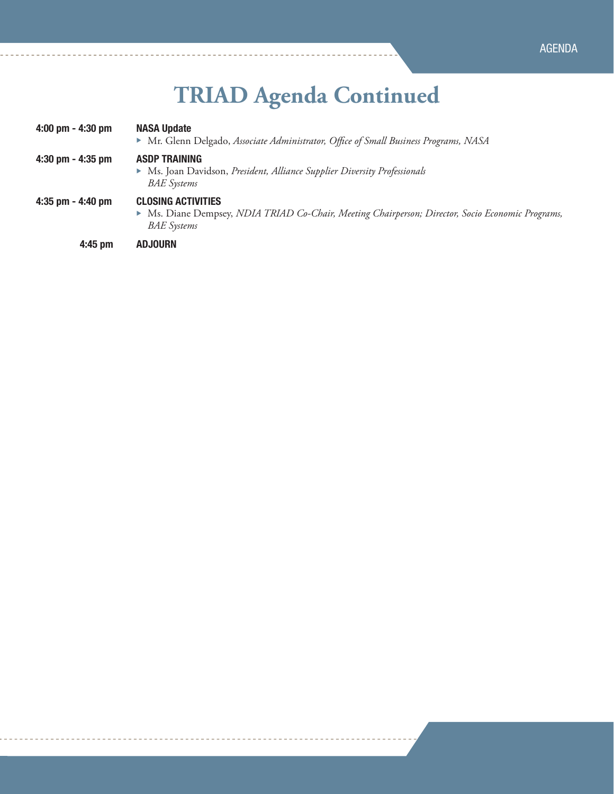# **TRIAD Agenda Continued**

| $4:00$ pm $- 4:30$ pm | <b>NASA Update</b><br>Mr. Glenn Delgado, Associate Administrator, Office of Small Business Programs, NASA                                          |
|-----------------------|----------------------------------------------------------------------------------------------------------------------------------------------------|
| $4:30$ pm $- 4:35$ pm | <b>ASDP TRAINING</b><br>• Ms. Joan Davidson, President, Alliance Supplier Diversity Professionals<br><b>BAE</b> Systems                            |
| 4:35 pm $-$ 4:40 pm   | <b>CLOSING ACTIVITIES</b><br>Ms. Diane Dempsey, NDIA TRIAD Co-Chair, Meeting Chairperson; Director, Socio Economic Programs,<br><b>BAE</b> Systems |
| 4:45 pm               | <b>ADJOURN</b>                                                                                                                                     |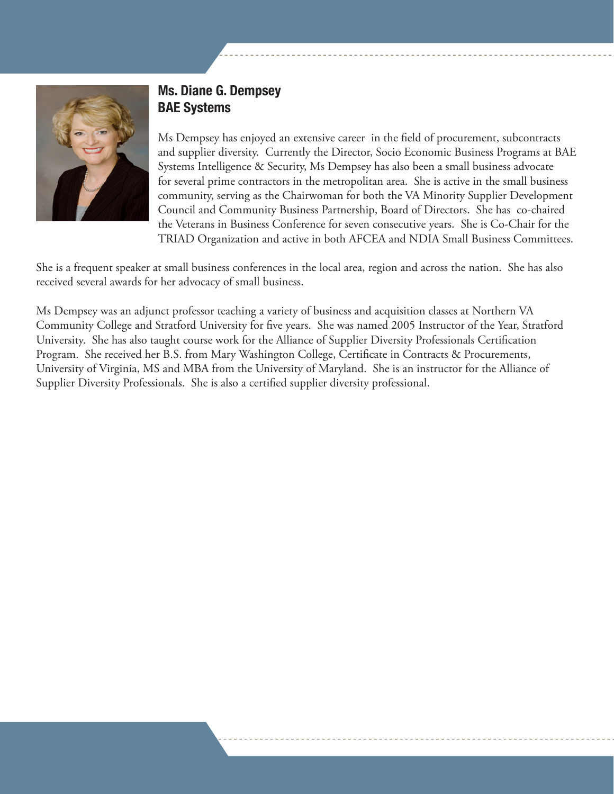

## Ms. Diane G. Dempsey BAE Systems

Ms Dempsey has enjoyed an extensive career in the field of procurement, subcontracts and supplier diversity. Currently the Director, Socio Economic Business Programs at BAE Systems Intelligence & Security, Ms Dempsey has also been a small business advocate for several prime contractors in the metropolitan area. She is active in the small business community, serving as the Chairwoman for both the VA Minority Supplier Development Council and Community Business Partnership, Board of Directors. She has co-chaired the Veterans in Business Conference for seven consecutive years. She is Co-Chair for the TRIAD Organization and active in both AFCEA and NDIA Small Business Committees.

She is a frequent speaker at small business conferences in the local area, region and across the nation. She has also received several awards for her advocacy of small business.

Ms Dempsey was an adjunct professor teaching a variety of business and acquisition classes at Northern VA Community College and Stratford University for five years. She was named 2005 Instructor of the Year, Stratford University. She has also taught course work for the Alliance of Supplier Diversity Professionals Certification Program. She received her B.S. from Mary Washington College, Certificate in Contracts & Procurements, University of Virginia, MS and MBA from the University of Maryland. She is an instructor for the Alliance of Supplier Diversity Professionals. She is also a certified supplier diversity professional.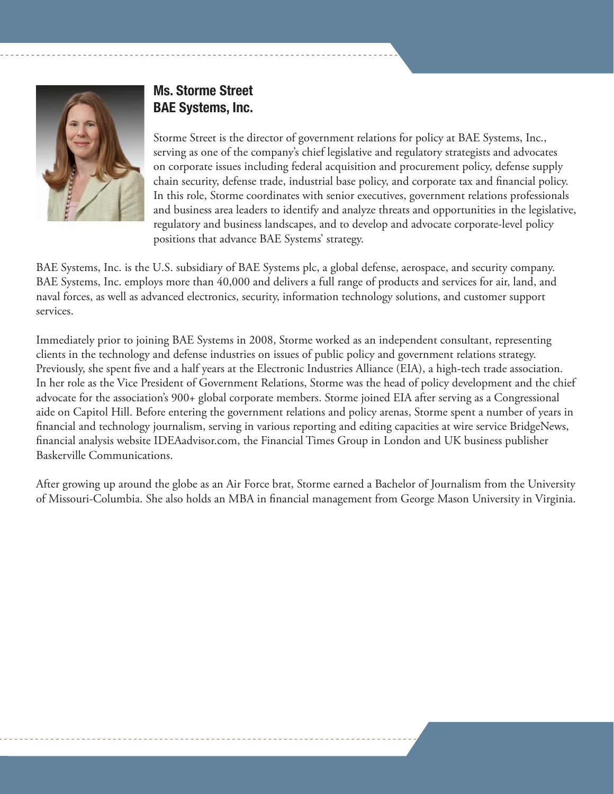

## Ms. Storme Street BAE Systems, Inc.

Storme Street is the director of government relations for policy at BAE Systems, Inc., serving as one of the company's chief legislative and regulatory strategists and advocates on corporate issues including federal acquisition and procurement policy, defense supply chain security, defense trade, industrial base policy, and corporate tax and financial policy. In this role, Storme coordinates with senior executives, government relations professionals and business area leaders to identify and analyze threats and opportunities in the legislative, regulatory and business landscapes, and to develop and advocate corporate-level policy positions that advance BAE Systems' strategy.

BAE Systems, Inc. is the U.S. subsidiary of BAE Systems plc, a global defense, aerospace, and security company. BAE Systems, Inc. employs more than 40,000 and delivers a full range of products and services for air, land, and naval forces, as well as advanced electronics, security, information technology solutions, and customer support services.

Immediately prior to joining BAE Systems in 2008, Storme worked as an independent consultant, representing clients in the technology and defense industries on issues of public policy and government relations strategy. Previously, she spent five and a half years at the Electronic Industries Alliance (EIA), a high-tech trade association. In her role as the Vice President of Government Relations, Storme was the head of policy development and the chief advocate for the association's 900+ global corporate members. Storme joined EIA after serving as a Congressional aide on Capitol Hill. Before entering the government relations and policy arenas, Storme spent a number of years in financial and technology journalism, serving in various reporting and editing capacities at wire service BridgeNews, financial analysis website IDEAadvisor.com, the Financial Times Group in London and UK business publisher Baskerville Communications.

After growing up around the globe as an Air Force brat, Storme earned a Bachelor of Journalism from the University of Missouri-Columbia. She also holds an MBA in financial management from George Mason University in Virginia.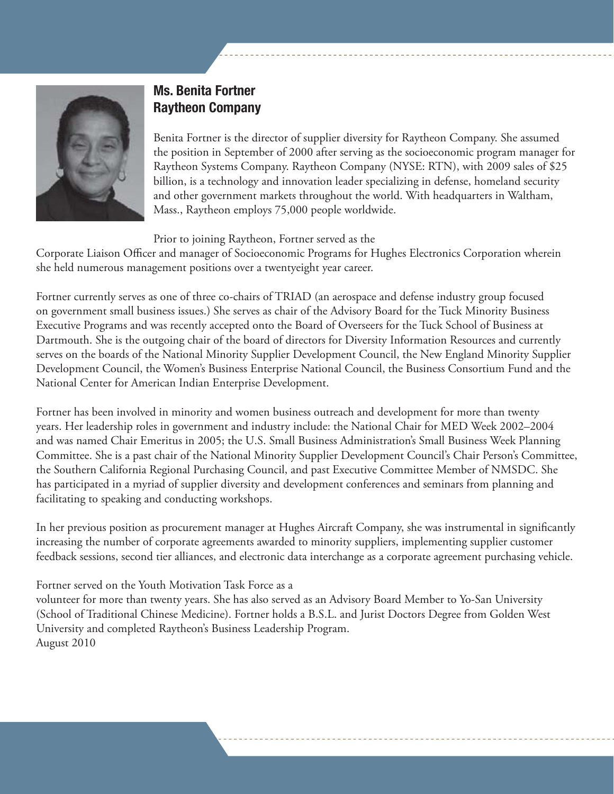

## Ms. Benita Fortner Raytheon Company

Benita Fortner is the director of supplier diversity for Raytheon Company. She assumed the position in September of 2000 after serving as the socioeconomic program manager for Raytheon Systems Company. Raytheon Company (NYSE: RTN), with 2009 sales of \$25 billion, is a technology and innovation leader specializing in defense, homeland security and other government markets throughout the world. With headquarters in Waltham, Mass., Raytheon employs 75,000 people worldwide.

Prior to joining Raytheon, Fortner served as the

Corporate Liaison Officer and manager of Socioeconomic Programs for Hughes Electronics Corporation wherein she held numerous management positions over a twentyeight year career.

Fortner currently serves as one of three co-chairs of TRIAD (an aerospace and defense industry group focused on government small business issues.) She serves as chair of the Advisory Board for the Tuck Minority Business Executive Programs and was recently accepted onto the Board of Overseers for the Tuck School of Business at Dartmouth. She is the outgoing chair of the board of directors for Diversity Information Resources and currently serves on the boards of the National Minority Supplier Development Council, the New England Minority Supplier Development Council, the Women's Business Enterprise National Council, the Business Consortium Fund and the National Center for American Indian Enterprise Development.

Fortner has been involved in minority and women business outreach and development for more than twenty years. Her leadership roles in government and industry include: the National Chair for MED Week 2002–2004 and was named Chair Emeritus in 2005; the U.S. Small Business Administration's Small Business Week Planning Committee. She is a past chair of the National Minority Supplier Development Council's Chair Person's Committee, the Southern California Regional Purchasing Council, and past Executive Committee Member of NMSDC. She has participated in a myriad of supplier diversity and development conferences and seminars from planning and facilitating to speaking and conducting workshops.

In her previous position as procurement manager at Hughes Aircraft Company, she was instrumental in significantly increasing the number of corporate agreements awarded to minority suppliers, implementing supplier customer feedback sessions, second tier alliances, and electronic data interchange as a corporate agreement purchasing vehicle.

Fortner served on the Youth Motivation Task Force as a

volunteer for more than twenty years. She has also served as an Advisory Board Member to Yo-San University (School of Traditional Chinese Medicine). Fortner holds a B.S.L. and Jurist Doctors Degree from Golden West University and completed Raytheon's Business Leadership Program. August 2010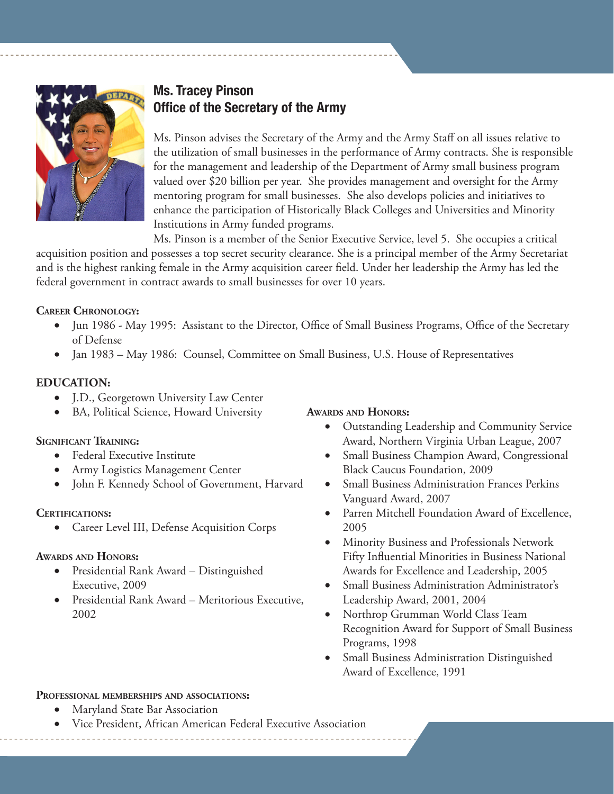

#### Ms. Tracey Pinson Office of the Secretary of the Army

Ms. Pinson advises the Secretary of the Army and the Army Staff on all issues relative to the utilization of small businesses in the performance of Army contracts. She is responsible for the management and leadership of the Department of Army small business program valued over \$20 billion per year. She provides management and oversight for the Army mentoring program for small businesses. She also develops policies and initiatives to enhance the participation of Historically Black Colleges and Universities and Minority Institutions in Army funded programs.

Ms. Pinson is a member of the Senior Executive Service, level 5. She occupies a critical acquisition position and possesses a top secret security clearance. She is a principal member of the Army Secretariat and is the highest ranking female in the Army acquisition career field. Under her leadership the Army has led the federal government in contract awards to small businesses for over 10 years.

#### **Career Chronology:**

- Jun 1986 May 1995: Assistant to the Director, Office of Small Business Programs, Office of the Secretary of Defense
- Jan 1983 May 1986: Counsel, Committee on Small Business, U.S. House of Representatives

#### **EDUCATION:**

- • J.D., Georgetown University Law Center
- BA, Political Science, Howard University

#### **Significant Training:**

- **Federal Executive Institute**
- Army Logistics Management Center
- John F. Kennedy School of Government, Harvard

#### **Certifications:**

• Career Level III, Defense Acquisition Corps

#### **Awards and Honors:**

- • Presidential Rank Award Distinguished Executive, 2009
- • Presidential Rank Award Meritorious Executive, 2002

#### **Awards and Honors:**

- Outstanding Leadership and Community Service Award, Northern Virginia Urban League, 2007
- Small Business Champion Award, Congressional Black Caucus Foundation, 2009
- **Small Business Administration Frances Perkins** Vanguard Award, 2007
- • Parren Mitchell Foundation Award of Excellence, 2005
- Minority Business and Professionals Network Fifty Influential Minorities in Business National Awards for Excellence and Leadership, 2005
- Small Business Administration Administrator's Leadership Award, 2001, 2004
- Northrop Grumman World Class Team Recognition Award for Support of Small Business Programs, 1998
- Small Business Administration Distinguished Award of Excellence, 1991

#### **Professional memberships and associations:**

- **Maryland State Bar Association**
- Vice President, African American Federal Executive Association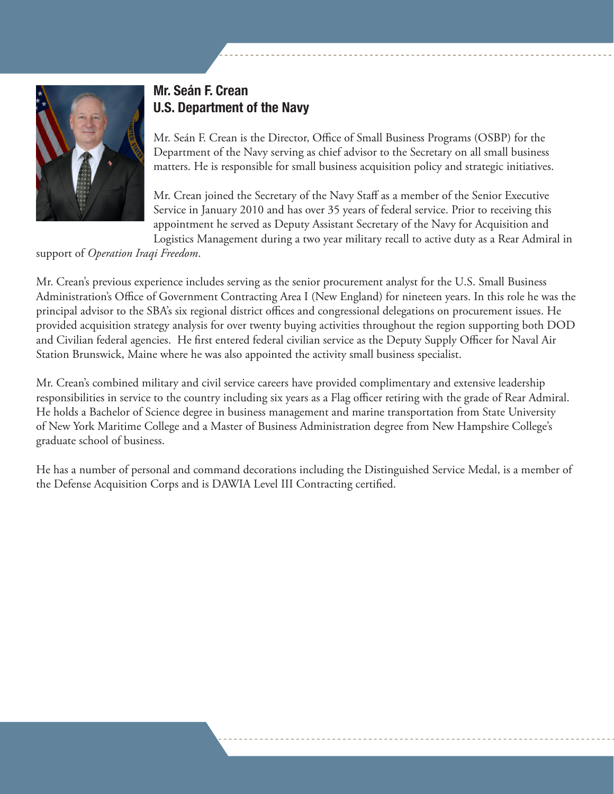

## Mr. Seán F. Crean U.S. Department of the Navy

Mr. Seán F. Crean is the Director, Office of Small Business Programs (OSBP) for the Department of the Navy serving as chief advisor to the Secretary on all small business matters. He is responsible for small business acquisition policy and strategic initiatives.

Mr. Crean joined the Secretary of the Navy Staff as a member of the Senior Executive Service in January 2010 and has over 35 years of federal service. Prior to receiving this appointment he served as Deputy Assistant Secretary of the Navy for Acquisition and Logistics Management during a two year military recall to active duty as a Rear Admiral in

support of *Operation Iraqi Freedom*.

Mr. Crean's previous experience includes serving as the senior procurement analyst for the U.S. Small Business Administration's Office of Government Contracting Area I (New England) for nineteen years. In this role he was the principal advisor to the SBA's six regional district offices and congressional delegations on procurement issues. He provided acquisition strategy analysis for over twenty buying activities throughout the region supporting both DOD and Civilian federal agencies. He first entered federal civilian service as the Deputy Supply Officer for Naval Air Station Brunswick, Maine where he was also appointed the activity small business specialist.

Mr. Crean's combined military and civil service careers have provided complimentary and extensive leadership responsibilities in service to the country including six years as a Flag officer retiring with the grade of Rear Admiral. He holds a Bachelor of Science degree in business management and marine transportation from State University of New York Maritime College and a Master of Business Administration degree from New Hampshire College's graduate school of business.

He has a number of personal and command decorations including the Distinguished Service Medal, is a member of the Defense Acquisition Corps and is DAWIA Level III Contracting certified.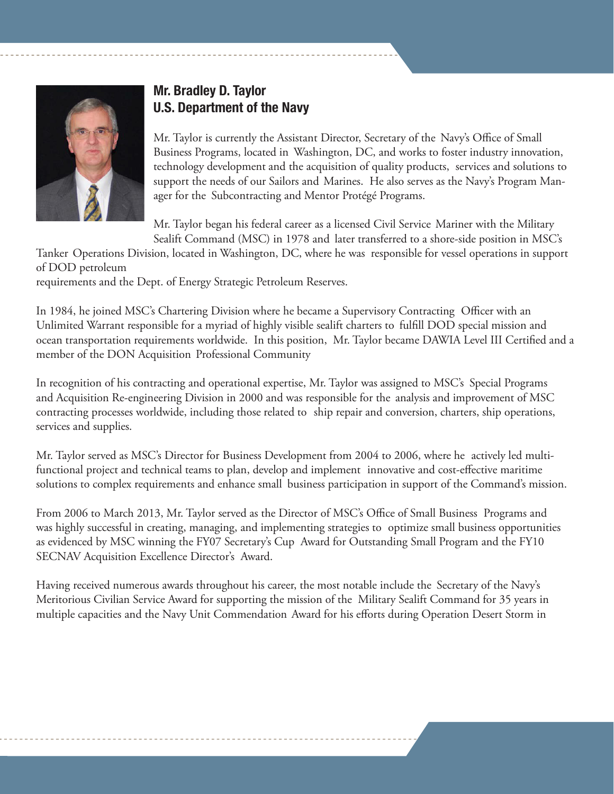

### Mr. Bradley D. Taylor U.S. Department of the Navy

Mr. Taylor is currently the Assistant Director, Secretary of the Navy's Office of Small Business Programs, located in Washington, DC, and works to foster industry innovation, technology development and the acquisition of quality products, services and solutions to support the needs of our Sailors and Marines. He also serves as the Navy's Program Manager for the Subcontracting and Mentor Protégé Programs.

Mr. Taylor began his federal career as a licensed Civil Service Mariner with the Military Sealift Command (MSC) in 1978 and later transferred to a shore-side position in MSC's

Tanker Operations Division, located in Washington, DC, where he was responsible for vessel operations in support of DOD petroleum

requirements and the Dept. of Energy Strategic Petroleum Reserves.

In 1984, he joined MSC's Chartering Division where he became a Supervisory Contracting Officer with an Unlimited Warrant responsible for a myriad of highly visible sealift charters to fulfill DOD special mission and ocean transportation requirements worldwide. In this position, Mr. Taylor became DAWIA Level III Certified and a member of the DON Acquisition Professional Community

In recognition of his contracting and operational expertise, Mr. Taylor was assigned to MSC's Special Programs and Acquisition Re-engineering Division in 2000 and was responsible for the analysis and improvement of MSC contracting processes worldwide, including those related to ship repair and conversion, charters, ship operations, services and supplies.

Mr. Taylor served as MSC's Director for Business Development from 2004 to 2006, where he actively led multifunctional project and technical teams to plan, develop and implement innovative and cost-effective maritime solutions to complex requirements and enhance small business participation in support of the Command's mission.

From 2006 to March 2013, Mr. Taylor served as the Director of MSC's Office of Small Business Programs and was highly successful in creating, managing, and implementing strategies to optimize small business opportunities as evidenced by MSC winning the FY07 Secretary's Cup Award for Outstanding Small Program and the FY10 SECNAV Acquisition Excellence Director's Award.

Having received numerous awards throughout his career, the most notable include the Secretary of the Navy's Meritorious Civilian Service Award for supporting the mission of the Military Sealift Command for 35 years in multiple capacities and the Navy Unit Commendation Award for his efforts during Operation Desert Storm in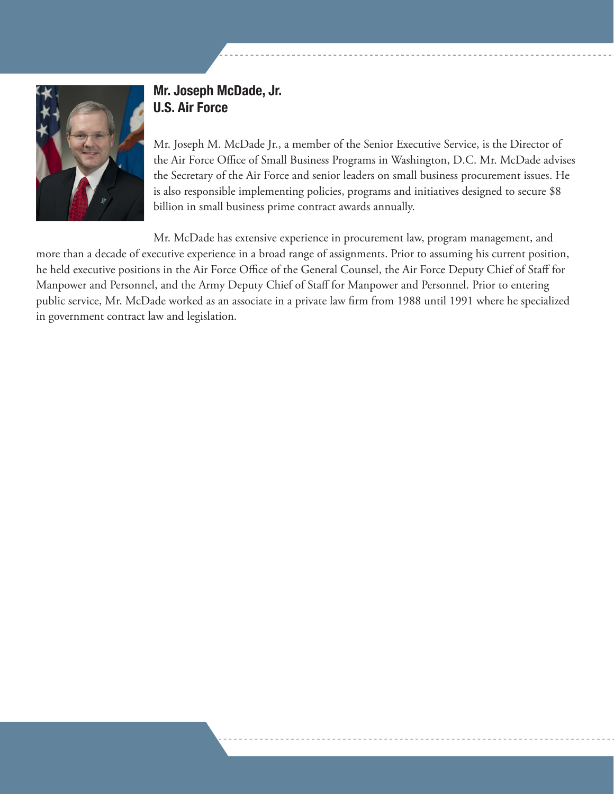

#### Mr. Joseph McDade, Jr. U.S. Air Force

Mr. Joseph M. McDade Jr., a member of the Senior Executive Service, is the Director of the Air Force Office of Small Business Programs in Washington, D.C. Mr. McDade advises the Secretary of the Air Force and senior leaders on small business procurement issues. He is also responsible implementing policies, programs and initiatives designed to secure \$8 billion in small business prime contract awards annually.

Mr. McDade has extensive experience in procurement law, program management, and more than a decade of executive experience in a broad range of assignments. Prior to assuming his current position, he held executive positions in the Air Force Office of the General Counsel, the Air Force Deputy Chief of Staff for Manpower and Personnel, and the Army Deputy Chief of Staff for Manpower and Personnel. Prior to entering public service, Mr. McDade worked as an associate in a private law firm from 1988 until 1991 where he specialized in government contract law and legislation.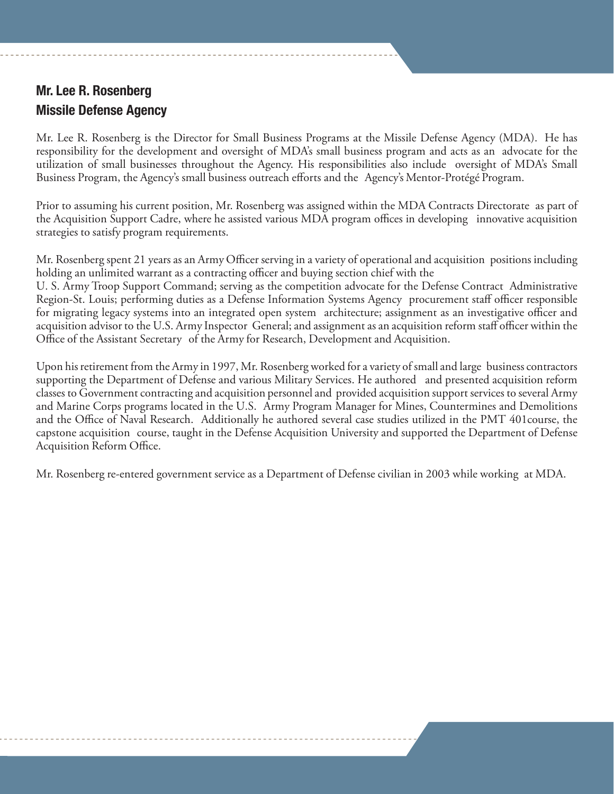## Mr. Lee R. Rosenberg Missile Defense Agency

Mr. Lee R. Rosenberg is the Director for Small Business Programs at the Missile Defense Agency (MDA). He has responsibility for the development and oversight of MDA's small business program and acts as an advocate for the utilization of small businesses throughout the Agency. His responsibilities also include oversight of MDA's Small Business Program, the Agency's small business outreach efforts and the Agency's Mentor-Protégé Program.

Prior to assuming his current position, Mr. Rosenberg was assigned within the MDA Contracts Directorate as part of the Acquisition Support Cadre, where he assisted various MDA program offices in developing innovative acquisition strategies to satisfy program requirements.

Mr. Rosenberg spent 21 years as an Army Officer serving in a variety of operational and acquisition positions including holding an unlimited warrant as a contracting officer and buying section chief with the

U. S. Army Troop Support Command; serving as the competition advocate for the Defense Contract Administrative Region-St. Louis; performing duties as a Defense Information Systems Agency procurement staff officer responsible for migrating legacy systems into an integrated open system architecture; assignment as an investigative officer and acquisition advisor to the U.S. Army Inspector General; and assignment as an acquisition reform staff officer within the Office of the Assistant Secretary of the Army for Research, Development and Acquisition.

Upon his retirement from the Army in 1997, Mr. Rosenberg worked for a variety of small and large business contractors supporting the Department of Defense and various Military Services. He authored and presented acquisition reform classes to Government contracting and acquisition personnel and provided acquisition support services to several Army and Marine Corps programs located in the U.S. Army Program Manager for Mines, Countermines and Demolitions and the Office of Naval Research. Additionally he authored several case studies utilized in the PMT 401course, the capstone acquisition course, taught in the Defense Acquisition University and supported the Department of Defense Acquisition Reform Office.

Mr. Rosenberg re-entered government service as a Department of Defense civilian in 2003 while working at MDA.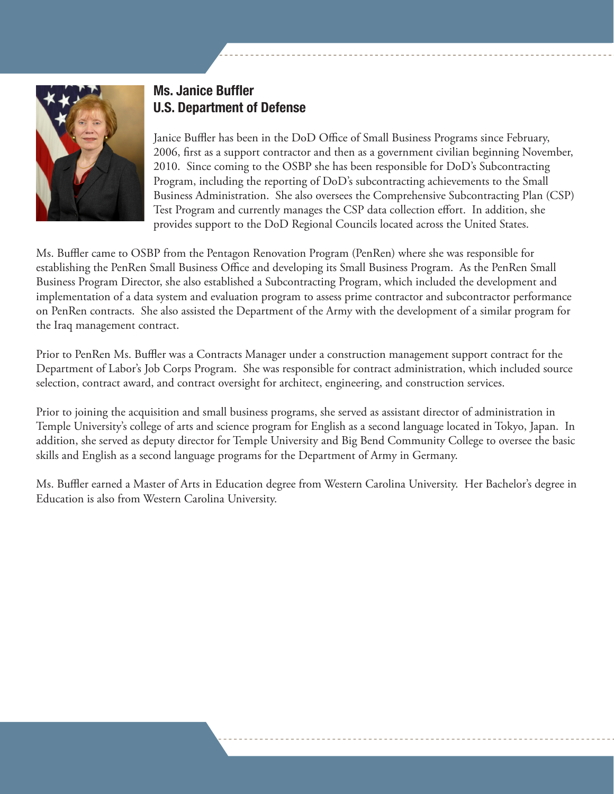

## Ms. Janice Buffler U.S. Department of Defense

Janice Buffler has been in the DoD Office of Small Business Programs since February, 2006, first as a support contractor and then as a government civilian beginning November, 2010. Since coming to the OSBP she has been responsible for DoD's Subcontracting Program, including the reporting of DoD's subcontracting achievements to the Small Business Administration. She also oversees the Comprehensive Subcontracting Plan (CSP) Test Program and currently manages the CSP data collection effort. In addition, she provides support to the DoD Regional Councils located across the United States.

Ms. Buffler came to OSBP from the Pentagon Renovation Program (PenRen) where she was responsible for establishing the PenRen Small Business Office and developing its Small Business Program. As the PenRen Small Business Program Director, she also established a Subcontracting Program, which included the development and implementation of a data system and evaluation program to assess prime contractor and subcontractor performance on PenRen contracts. She also assisted the Department of the Army with the development of a similar program for the Iraq management contract.

Prior to PenRen Ms. Buffler was a Contracts Manager under a construction management support contract for the Department of Labor's Job Corps Program. She was responsible for contract administration, which included source selection, contract award, and contract oversight for architect, engineering, and construction services.

Prior to joining the acquisition and small business programs, she served as assistant director of administration in Temple University's college of arts and science program for English as a second language located in Tokyo, Japan. In addition, she served as deputy director for Temple University and Big Bend Community College to oversee the basic skills and English as a second language programs for the Department of Army in Germany.

Ms. Buffler earned a Master of Arts in Education degree from Western Carolina University. Her Bachelor's degree in Education is also from Western Carolina University.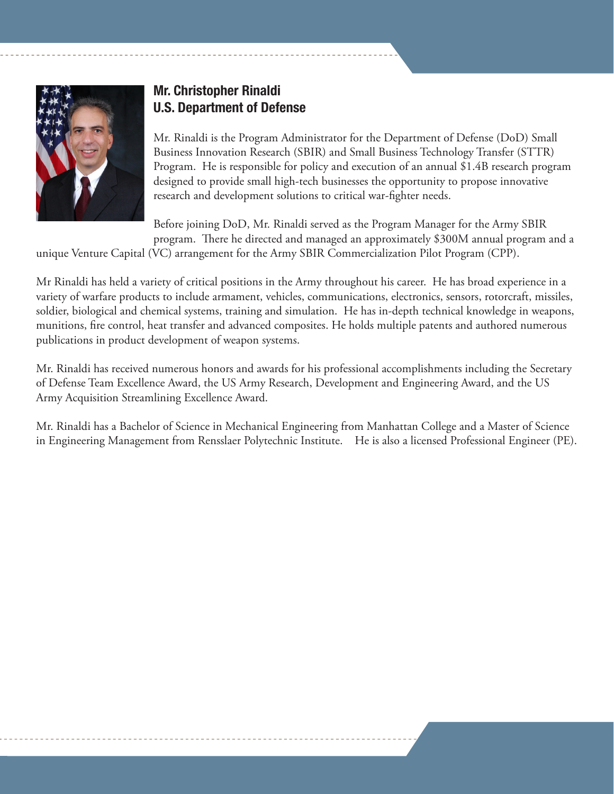

## Mr. Christopher Rinaldi U.S. Department of Defense

Mr. Rinaldi is the Program Administrator for the Department of Defense (DoD) Small Business Innovation Research (SBIR) and Small Business Technology Transfer (STTR) Program. He is responsible for policy and execution of an annual \$1.4B research program designed to provide small high-tech businesses the opportunity to propose innovative research and development solutions to critical war-fighter needs.

Before joining DoD, Mr. Rinaldi served as the Program Manager for the Army SBIR program. There he directed and managed an approximately \$300M annual program and a

unique Venture Capital (VC) arrangement for the Army SBIR Commercialization Pilot Program (CPP).

Mr Rinaldi has held a variety of critical positions in the Army throughout his career. He has broad experience in a variety of warfare products to include armament, vehicles, communications, electronics, sensors, rotorcraft, missiles, soldier, biological and chemical systems, training and simulation. He has in-depth technical knowledge in weapons, munitions, fire control, heat transfer and advanced composites. He holds multiple patents and authored numerous publications in product development of weapon systems.

Mr. Rinaldi has received numerous honors and awards for his professional accomplishments including the Secretary of Defense Team Excellence Award, the US Army Research, Development and Engineering Award, and the US Army Acquisition Streamlining Excellence Award.

Mr. Rinaldi has a Bachelor of Science in Mechanical Engineering from Manhattan College and a Master of Science in Engineering Management from Rensslaer Polytechnic Institute. He is also a licensed Professional Engineer (PE).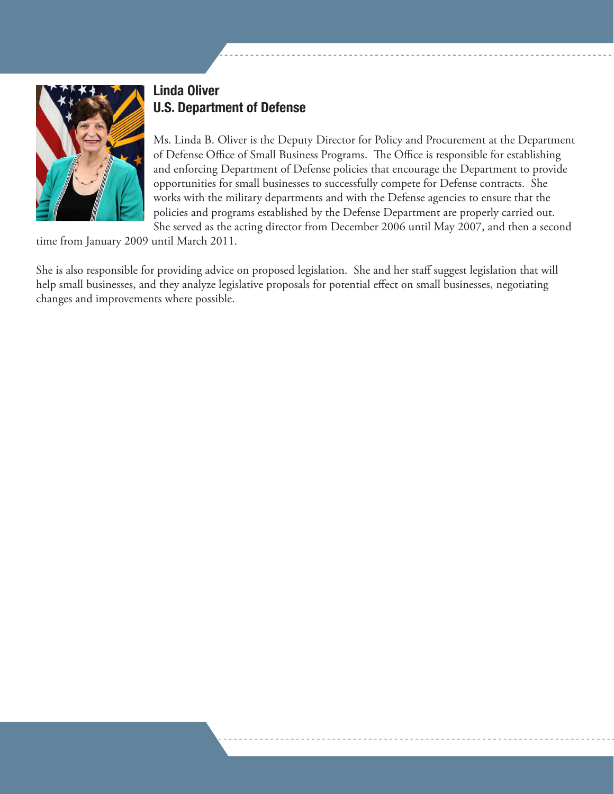

## Linda Oliver U.S. Department of Defense

Ms. Linda B. Oliver is the Deputy Director for Policy and Procurement at the Department of Defense Office of Small Business Programs. The Office is responsible for establishing and enforcing Department of Defense policies that encourage the Department to provide opportunities for small businesses to successfully compete for Defense contracts. She works with the military departments and with the Defense agencies to ensure that the policies and programs established by the Defense Department are properly carried out. She served as the acting director from December 2006 until May 2007, and then a second

time from January 2009 until March 2011.

She is also responsible for providing advice on proposed legislation. She and her staff suggest legislation that will help small businesses, and they analyze legislative proposals for potential effect on small businesses, negotiating changes and improvements where possible.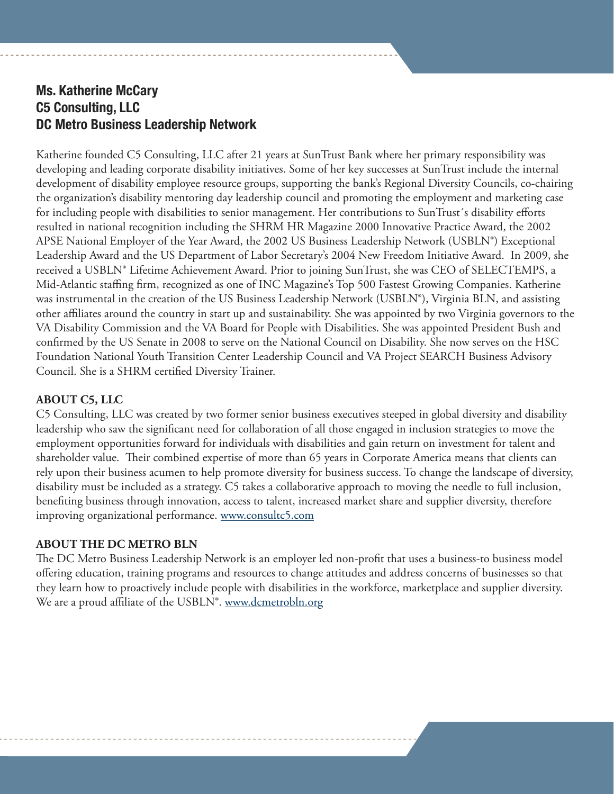#### Ms. Katherine McCary C5 Consulting, LLC DC Metro Business Leadership Network

Katherine founded C5 Consulting, LLC after 21 years at SunTrust Bank where her primary responsibility was developing and leading corporate disability initiatives. Some of her key successes at SunTrust include the internal development of disability employee resource groups, supporting the bank's Regional Diversity Councils, co-chairing the organization's disability mentoring day leadership council and promoting the employment and marketing case for including people with disabilities to senior management. Her contributions to SunTrust´s disability efforts resulted in national recognition including the SHRM HR Magazine 2000 Innovative Practice Award, the 2002 APSE National Employer of the Year Award, the 2002 US Business Leadership Network (USBLN®) Exceptional Leadership Award and the US Department of Labor Secretary's 2004 New Freedom Initiative Award. In 2009, she received a USBLN® Lifetime Achievement Award. Prior to joining SunTrust, she was CEO of SELECTEMPS, a Mid-Atlantic staffing firm, recognized as one of INC Magazine's Top 500 Fastest Growing Companies. Katherine was instrumental in the creation of the US Business Leadership Network (USBLN®), Virginia BLN, and assisting other affiliates around the country in start up and sustainability. She was appointed by two Virginia governors to the VA Disability Commission and the VA Board for People with Disabilities. She was appointed President Bush and confirmed by the US Senate in 2008 to serve on the National Council on Disability. She now serves on the HSC Foundation National Youth Transition Center Leadership Council and VA Project SEARCH Business Advisory Council. She is a SHRM certified Diversity Trainer.

#### **ABOUT C5, LLC**

C5 Consulting, LLC was created by two former senior business executives steeped in global diversity and disability leadership who saw the significant need for collaboration of all those engaged in inclusion strategies to move the employment opportunities forward for individuals with disabilities and gain return on investment for talent and shareholder value. Their combined expertise of more than 65 years in Corporate America means that clients can rely upon their business acumen to help promote diversity for business success. To change the landscape of diversity, disability must be included as a strategy. C5 takes a collaborative approach to moving the needle to full inclusion, benefiting business through innovation, access to talent, increased market share and supplier diversity, therefore improving organizational performance. www.consultc5.com

#### **ABOUT THE DC METRO BLN**

The DC Metro Business Leadership Network is an employer led non-profit that uses a business-to business model offering education, training programs and resources to change attitudes and address concerns of businesses so that they learn how to proactively include people with disabilities in the workforce, marketplace and supplier diversity. We are a proud affiliate of the USBLN®. www.dcmetrobln.org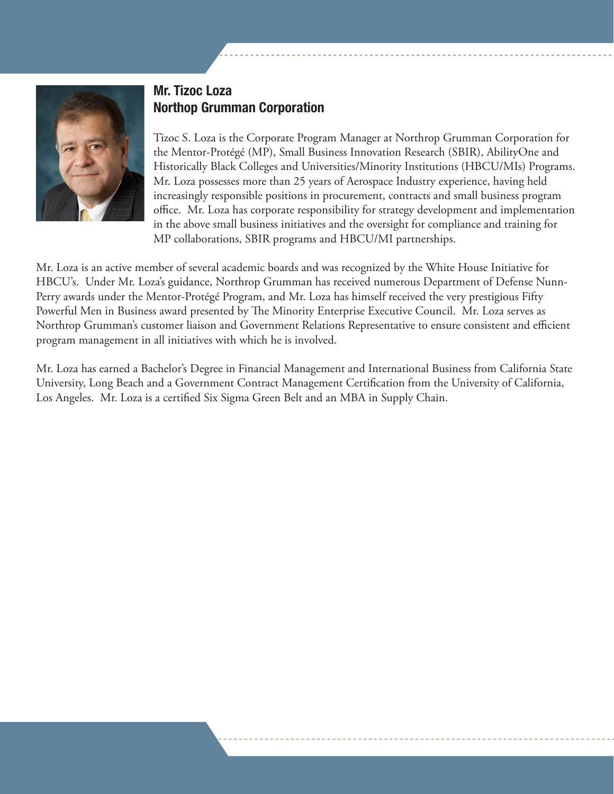

#### Mr. Tizoc Loza Northop Grumman Corporation

Tizoc S. Loza is the Corporate Program Manager at Northrop Grumman Corporation for the Mentor-Protégé (MP), Small Business Innovation Research (SBIR), AbilityOne and Historically Black Colleges and Universities/Minority Institutions (HBCU/MIs) Programs. Mr. Loza possesses more than 25 years of Aerospace Industry experience, having held increasingly responsible positions in procurement, contracts and small business program office. Mr. Loza has corporate responsibility for strategy development and implementation in the above small business initiatives and the oversight for compliance and training for MP collaborations, SBIR programs and HBCU/MI partnerships.

Mr. Loza is an active member of several academic boards and was recognized by the White House Initiative for HBCU's. Under Mr. Loza's guidance, Northrop Grumman has received numerous Department of Defense Nunn-Perry awards under the Mentor-Protégé Program, and Mr. Loza has himself received the very prestigious Fifty Powerful Men in Business award presented by The Minority Enterprise Executive Council. Mr. Loza serves as Northrop Grumman's customer liaison and Government Relations Representative to ensure consistent and efficient program management in all initiatives with which he is involved.

Mr. Loza has earned a Bachelor's Degree in Financial Management and International Business from California State University, Long Beach and a Government Contract Management Certification from the University of California, Los Angeles. Mr. Loza is a certified Six Sigma Green Belt and an MBA in Supply Chain.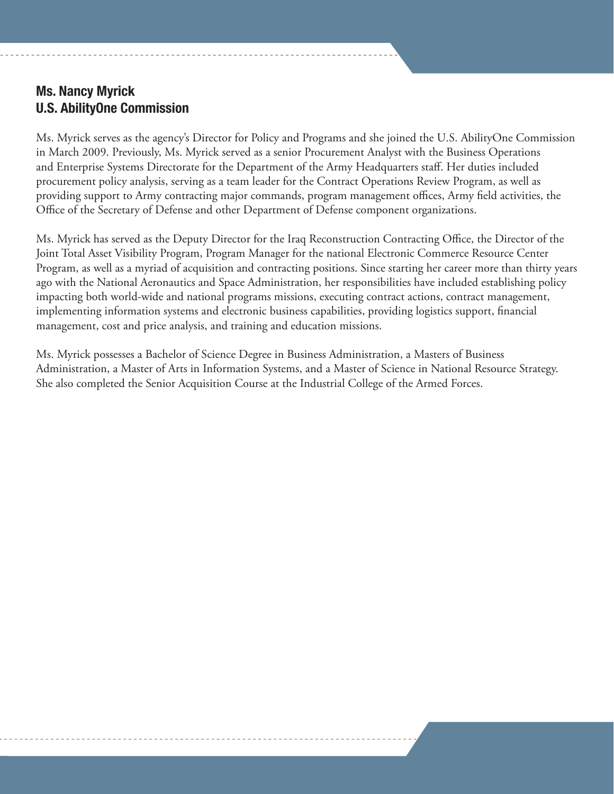#### Ms. Nancy Myrick U.S. AbilityOne Commission

Ms. Myrick serves as the agency's Director for Policy and Programs and she joined the U.S. AbilityOne Commission in March 2009. Previously, Ms. Myrick served as a senior Procurement Analyst with the Business Operations and Enterprise Systems Directorate for the Department of the Army Headquarters staff. Her duties included procurement policy analysis, serving as a team leader for the Contract Operations Review Program, as well as providing support to Army contracting major commands, program management offices, Army field activities, the Office of the Secretary of Defense and other Department of Defense component organizations.

Ms. Myrick has served as the Deputy Director for the Iraq Reconstruction Contracting Office, the Director of the Joint Total Asset Visibility Program, Program Manager for the national Electronic Commerce Resource Center Program, as well as a myriad of acquisition and contracting positions. Since starting her career more than thirty years ago with the National Aeronautics and Space Administration, her responsibilities have included establishing policy impacting both world-wide and national programs missions, executing contract actions, contract management, implementing information systems and electronic business capabilities, providing logistics support, financial management, cost and price analysis, and training and education missions.

Ms. Myrick possesses a Bachelor of Science Degree in Business Administration, a Masters of Business Administration, a Master of Arts in Information Systems, and a Master of Science in National Resource Strategy. She also completed the Senior Acquisition Course at the Industrial College of the Armed Forces.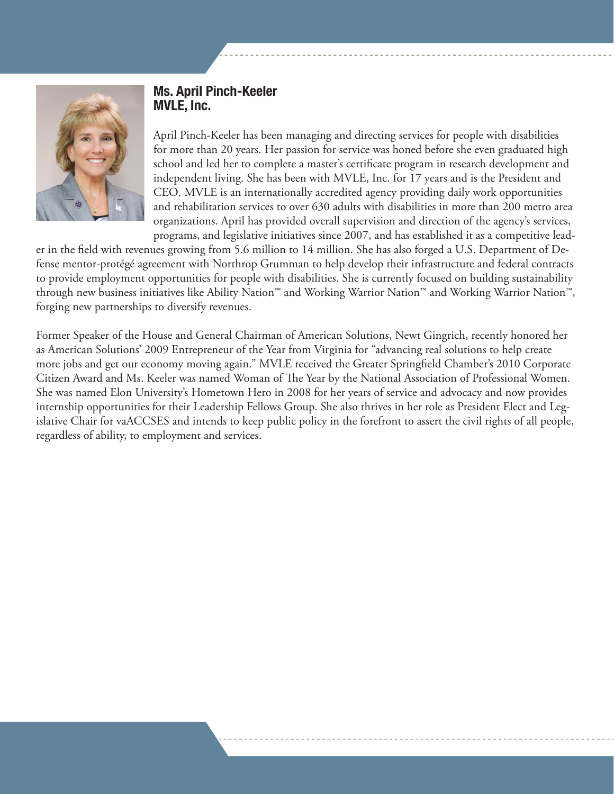

#### Ms. April Pinch-Keeler MVLE, Inc.

April Pinch-Keeler has been managing and directing services for people with disabilities for more than 20 years. Her passion for service was honed before she even graduated high school and led her to complete a master's certificate program in research development and independent living. She has been with MVLE, Inc. for 17 years and is the President and CEO. MVLE is an internationally accredited agency providing daily work opportunities and rehabilitation services to over 630 adults with disabilities in more than 200 metro area organizations. April has provided overall supervision and direction of the agency's services, programs, and legislative initiatives since 2007, and has established it as a competitive lead-

er in the field with revenues growing from 5.6 million to 14 million. She has also forged a U.S. Department of Defense mentor-protégé agreement with Northrop Grumman to help develop their infrastructure and federal contracts to provide employment opportunities for people with disabilities. She is currently focused on building sustainability through new business initiatives like Ability Nation™ and Working Warrior Nation™ and Working Warrior Nation™, forging new partnerships to diversify revenues.

Former Speaker of the House and General Chairman of American Solutions, Newt Gingrich, recently honored her as American Solutions' 2009 Entrepreneur of the Year from Virginia for "advancing real solutions to help create more jobs and get our economy moving again." MVLE received the Greater Springfield Chamber's 2010 Corporate Citizen Award and Ms. Keeler was named Woman of The Year by the National Association of Professional Women. She was named Elon University's Hometown Hero in 2008 for her years of service and advocacy and now provides internship opportunities for their Leadership Fellows Group. She also thrives in her role as President Elect and Legislative Chair for vaACCSES and intends to keep public policy in the forefront to assert the civil rights of all people, regardless of ability, to employment and services.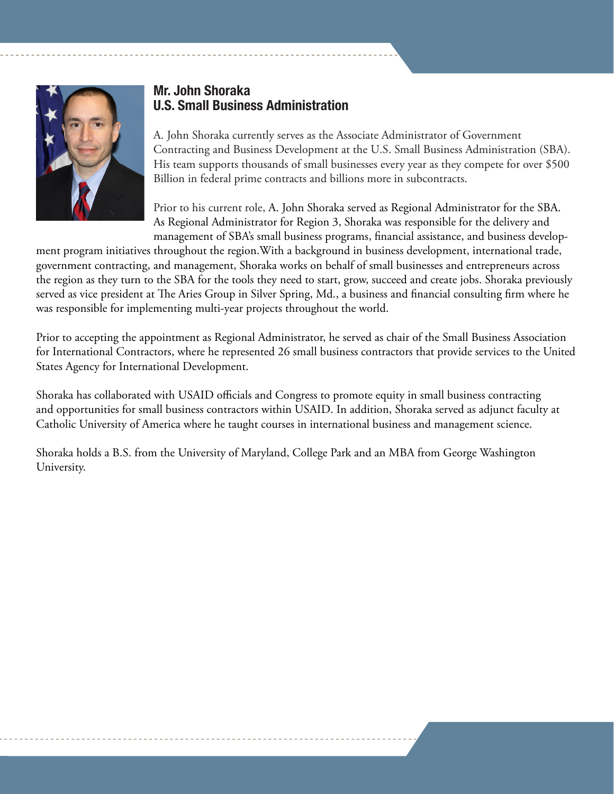

#### Mr. John Shoraka U.S. Small Business Administration

A. John Shoraka currently serves as the Associate Administrator of Government Contracting and Business Development at the U.S. Small Business Administration (SBA). His team supports thousands of small businesses every year as they compete for over \$500 Billion in federal prime contracts and billions more in subcontracts.

Prior to his current role, A. John Shoraka served as Regional Administrator for the SBA. As Regional Administrator for Region 3, Shoraka was responsible for the delivery and management of SBA's small business programs, financial assistance, and business develop-

ment program initiatives throughout the region.With a background in business development, international trade, government contracting, and management, Shoraka works on behalf of small businesses and entrepreneurs across the region as they turn to the SBA for the tools they need to start, grow, succeed and create jobs. Shoraka previously served as vice president at The Aries Group in Silver Spring, Md., a business and financial consulting firm where he was responsible for implementing multi-year projects throughout the world.

Prior to accepting the appointment as Regional Administrator, he served as chair of the Small Business Association for International Contractors, where he represented 26 small business contractors that provide services to the United States Agency for International Development.

Shoraka has collaborated with USAID officials and Congress to promote equity in small business contracting and opportunities for small business contractors within USAID. In addition, Shoraka served as adjunct faculty at Catholic University of America where he taught courses in international business and management science.

Shoraka holds a B.S. from the University of Maryland, College Park and an MBA from George Washington University.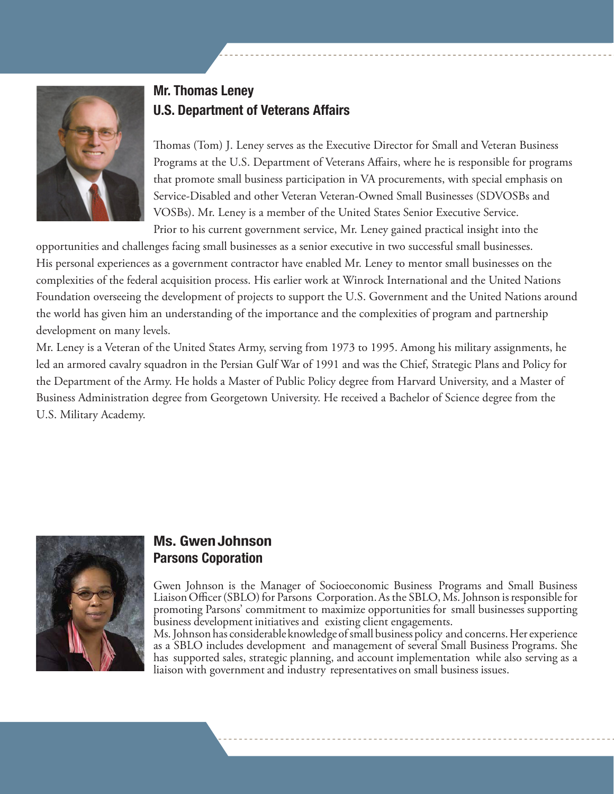

## Mr. Thomas Leney U.S. Department of Veterans Affairs

Thomas (Tom) J. Leney serves as the Executive Director for Small and Veteran Business Programs at the U.S. Department of Veterans Affairs, where he is responsible for programs that promote small business participation in VA procurements, with special emphasis on Service-Disabled and other Veteran Veteran-Owned Small Businesses (SDVOSBs and VOSBs). Mr. Leney is a member of the United States Senior Executive Service. Prior to his current government service, Mr. Leney gained practical insight into the

opportunities and challenges facing small businesses as a senior executive in two successful small businesses. His personal experiences as a government contractor have enabled Mr. Leney to mentor small businesses on the complexities of the federal acquisition process. His earlier work at Winrock International and the United Nations Foundation overseeing the development of projects to support the U.S. Government and the United Nations around the world has given him an understanding of the importance and the complexities of program and partnership development on many levels.

Mr. Leney is a Veteran of the United States Army, serving from 1973 to 1995. Among his military assignments, he led an armored cavalry squadron in the Persian Gulf War of 1991 and was the Chief, Strategic Plans and Policy for the Department of the Army. He holds a Master of Public Policy degree from Harvard University, and a Master of Business Administration degree from Georgetown University. He received a Bachelor of Science degree from the U.S. Military Academy.



#### Ms. GwenJohnson Parsons Coporation

Gwen Johnson is the Manager of Socioeconomic Business Programs and Small Business Liaison Officer (SBLO) for Parsons Corporation. As the SBLO, Ms. Johnson is responsible for promoting Parsons' commitment to maximize opportunities for small businesses supporting business development initiatives and existing client engagements.

Ms. Johnson has considerable knowledge of small business policy and concerns. Her experience as a SBLO includes development and management of several Small Business Programs. She has supported sales, strategic planning, and account implementation while also serving as a liaison with government and industry representatives on small business issues.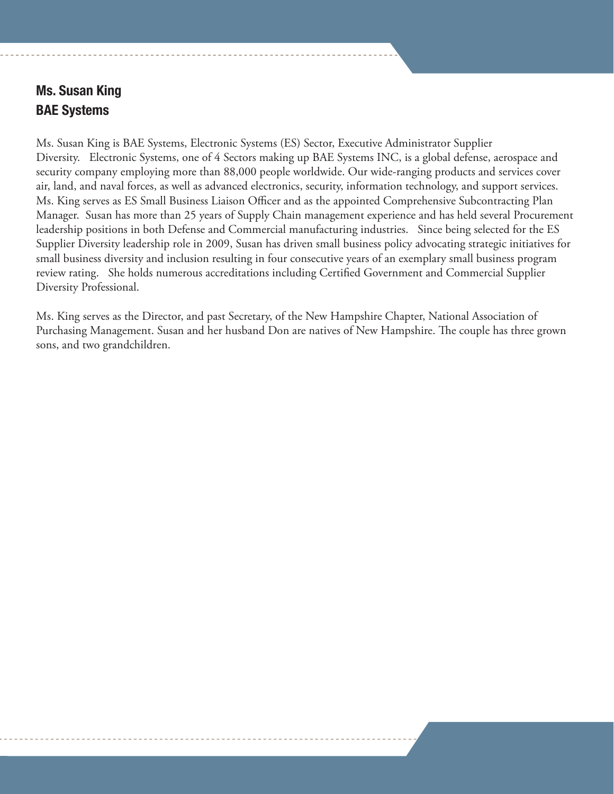## Ms. Susan King BAE Systems

Ms. Susan King is BAE Systems, Electronic Systems (ES) Sector, Executive Administrator Supplier Diversity. Electronic Systems, one of 4 Sectors making up BAE Systems INC, is a global defense, aerospace and security company employing more than 88,000 people worldwide. Our wide-ranging products and services cover air, land, and naval forces, as well as advanced electronics, security, information technology, and support services. Ms. King serves as ES Small Business Liaison Officer and as the appointed Comprehensive Subcontracting Plan Manager. Susan has more than 25 years of Supply Chain management experience and has held several Procurement leadership positions in both Defense and Commercial manufacturing industries. Since being selected for the ES Supplier Diversity leadership role in 2009, Susan has driven small business policy advocating strategic initiatives for small business diversity and inclusion resulting in four consecutive years of an exemplary small business program review rating. She holds numerous accreditations including Certified Government and Commercial Supplier Diversity Professional.

Ms. King serves as the Director, and past Secretary, of the New Hampshire Chapter, National Association of Purchasing Management. Susan and her husband Don are natives of New Hampshire. The couple has three grown sons, and two grandchildren.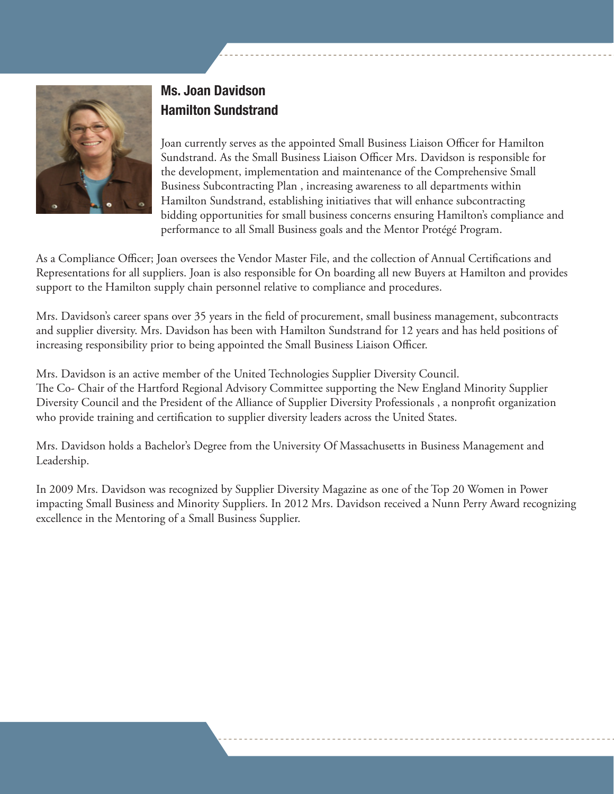

## Ms. Joan Davidson Hamilton Sundstrand

Joan currently serves as the appointed Small Business Liaison Officer for Hamilton Sundstrand. As the Small Business Liaison Officer Mrs. Davidson is responsible for the development, implementation and maintenance of the Comprehensive Small Business Subcontracting Plan , increasing awareness to all departments within Hamilton Sundstrand, establishing initiatives that will enhance subcontracting bidding opportunities for small business concerns ensuring Hamilton's compliance and performance to all Small Business goals and the Mentor Protégé Program.

As a Compliance Officer; Joan oversees the Vendor Master File, and the collection of Annual Certifications and Representations for all suppliers. Joan is also responsible for On boarding all new Buyers at Hamilton and provides support to the Hamilton supply chain personnel relative to compliance and procedures.

Mrs. Davidson's career spans over 35 years in the field of procurement, small business management, subcontracts and supplier diversity. Mrs. Davidson has been with Hamilton Sundstrand for 12 years and has held positions of increasing responsibility prior to being appointed the Small Business Liaison Officer.

Mrs. Davidson is an active member of the United Technologies Supplier Diversity Council. The Co- Chair of the Hartford Regional Advisory Committee supporting the New England Minority Supplier Diversity Council and the President of the Alliance of Supplier Diversity Professionals , a nonprofit organization who provide training and certification to supplier diversity leaders across the United States.

Mrs. Davidson holds a Bachelor's Degree from the University Of Massachusetts in Business Management and Leadership.

In 2009 Mrs. Davidson was recognized by Supplier Diversity Magazine as one of the Top 20 Women in Power impacting Small Business and Minority Suppliers. In 2012 Mrs. Davidson received a Nunn Perry Award recognizing excellence in the Mentoring of a Small Business Supplier.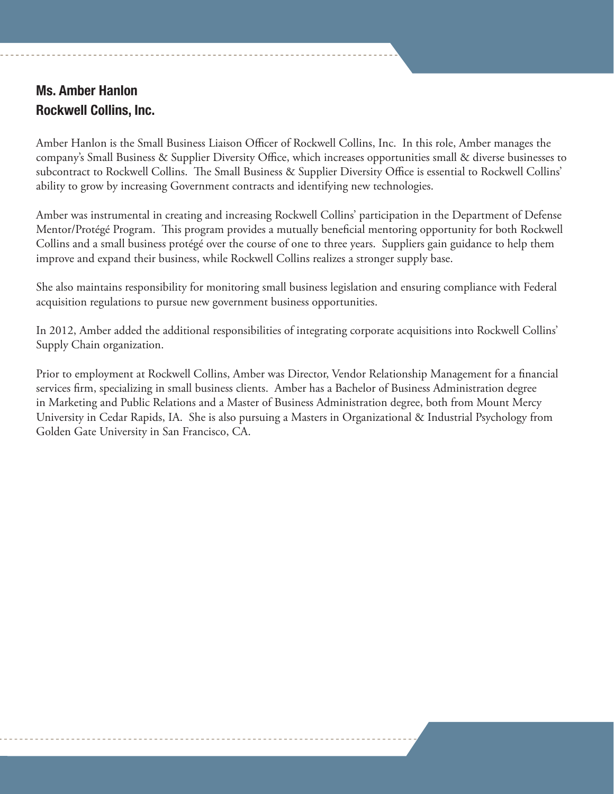## Ms. Amber Hanlon Rockwell Collins, Inc.

Amber Hanlon is the Small Business Liaison Officer of Rockwell Collins, Inc. In this role, Amber manages the company's Small Business & Supplier Diversity Office, which increases opportunities small & diverse businesses to subcontract to Rockwell Collins. The Small Business & Supplier Diversity Office is essential to Rockwell Collins' ability to grow by increasing Government contracts and identifying new technologies.

Amber was instrumental in creating and increasing Rockwell Collins' participation in the Department of Defense Mentor/Protégé Program. This program provides a mutually beneficial mentoring opportunity for both Rockwell Collins and a small business protégé over the course of one to three years. Suppliers gain guidance to help them improve and expand their business, while Rockwell Collins realizes a stronger supply base.

She also maintains responsibility for monitoring small business legislation and ensuring compliance with Federal acquisition regulations to pursue new government business opportunities.

In 2012, Amber added the additional responsibilities of integrating corporate acquisitions into Rockwell Collins' Supply Chain organization.

Prior to employment at Rockwell Collins, Amber was Director, Vendor Relationship Management for a financial services firm, specializing in small business clients. Amber has a Bachelor of Business Administration degree in Marketing and Public Relations and a Master of Business Administration degree, both from Mount Mercy University in Cedar Rapids, IA. She is also pursuing a Masters in Organizational & Industrial Psychology from Golden Gate University in San Francisco, CA.